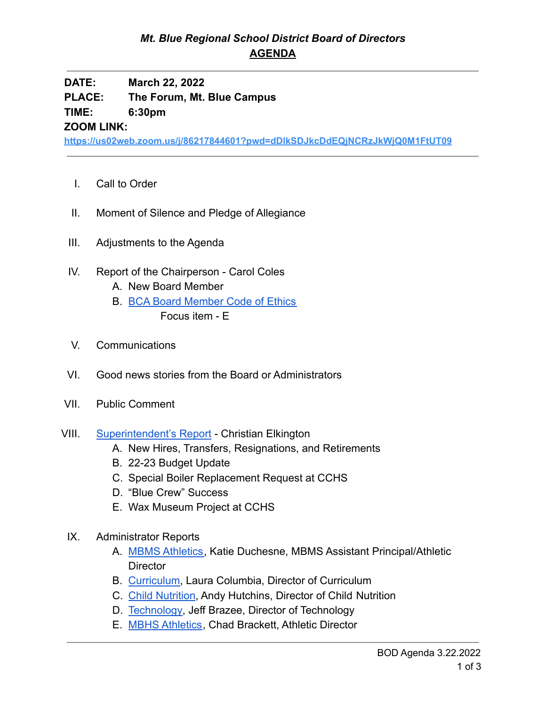## *Mt. Blue Regional School District Board of Directors* **AGENDA**

**DATE: March 22, 2022**

**PLACE: The Forum, Mt. Blue Campus**

**TIME: 6:30pm**

**ZOOM LINK:**

**<https://us02web.zoom.us/j/86217844601?pwd=dDlkSDJkcDdEQjNCRzJkWjQ0M1FtUT09>**

- I. Call to Order
- II. Moment of Silence and Pledge of Allegiance
- III. Adjustments to the Agenda
- IV. Report of the Chairperson Carol Coles
	- A. New Board Member
	- B. [BCA Board Member Code of Ethics](https://cdn.branchcms.com/yeQ4XpK43n-1155/docs/district/board-of-directors/policy-manual/section-b/BCA-Board-Member-Code-of-Ethics.pdf) Focus item - E
- V. Communications
- VI. Good news stories from the Board or Administrators
- VII. Public Comment
- VIII. [Superintendent's Report](https://drive.google.com/file/d/11MLdQsLNTxTQIWryKvCS9xZu1xMjquhW/view?usp=sharingVYzEoA55qJClupQ/edit?usp=sharing) Christian Elkington
	- A. New Hires, Transfers, Resignations, and Retirements
	- B. 22-23 Budget Update
	- C. Special Boiler Replacement Request at CCHS
	- D. "Blue Crew" Success
	- E. Wax Museum Project at CCHS
	- IX. Administrator Reports
		- A. [MBMS Athletics,](https://drive.google.com/file/d/135fmZyyotyAjdu56XjVqGdEzae75bCCL/view?usp=sharing) Katie Duchesne, MBMS Assistant Principal/Athletic **Director**
		- B. [Curriculum](https://drive.google.com/file/d/1zR-JaTb1YFLQYAqPQjz0QxvlelCQX5cg/view?usp=sharing), Laura Columbia, Director of Curriculum
		- C. [Child Nutrition](https://drive.google.com/file/d/12FsjAEsrDD3FESgSoHhTJ59a9NUGQDEF/view?usp=sharing), Andy Hutchins, Director of Child Nutrition
		- D. [Technology,](https://drive.google.com/file/d/1dTzLkIERgIeKxTYCOU5ACU58GcuH8ja1/view?usp=sharing) Jeff Brazee, Director of Technology
		- E. [MBHS Athletics](https://drive.google.com/file/d/104g-W9o2m2Pa4ESE3wxJFgLQDBLFqpws/view?usp=sharing), Chad Brackett, Athletic Director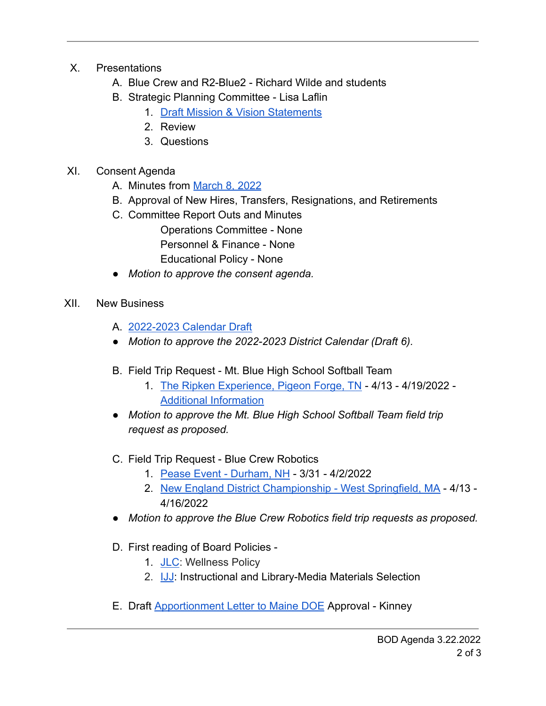- X. Presentations
	- A. Blue Crew and R2-Blue2 Richard Wilde and students
	- B. Strategic Planning Committee Lisa Laflin
		- 1. [Draft Mission & Vision Statements](https://drive.google.com/file/d/14LP6bhbowCqLqvn4HO6cILiudkxjc1N8/view?usp=sharing)
		- 2. Review
		- 3. Questions
- XI. Consent Agenda
	- A. Minutes from [March 8, 2022](https://drive.google.com/file/d/1d5yr2HEBU8C3_ajoUiEqJ4-KaeUe_xYV/view?usp=sharing)
	- B. Approval of New Hires, Transfers, Resignations, and Retirements
	- C. Committee Report Outs and Minutes Operations Committee - None Personnel & Finance - None Educational Policy - None
	- *Motion to approve the consent agenda.*
- XII. New Business
	- A. [2022-2023 Calendar Draft](https://drive.google.com/file/d/1w0ROCyhy2nDwaPZqj-tdcCZ7l388cxvU/view?usp=sharing)
	- *● Motion to approve the 2022-2023 District Calendar (Draft 6).*
	- B. Field Trip Request Mt. Blue High School Softball Team
		- 1. [The Ripken Experience, Pigeon Forge, TN](https://drive.google.com/file/d/1PbFJfk5dAVcLlkbiglcX6TFWCdn5Y3yf/view?usp=sharing) 4/13 4/19/2022 [Additional Information](https://drive.google.com/file/d/120CoA1qpiIjGWoPB72yi2hakZmtlF6oA/view?usp=sharing)
	- *● Motion to approve the Mt. Blue High School Softball Team field trip request as proposed.*
	- C. Field Trip Request Blue Crew Robotics
		- 1. [Pease Event Durham, NH](https://drive.google.com/file/d/12E6TmYiA8CEt3iR2zrys2Y3BtES9W1I6/view?usp=sharing) 3/31 4/2/2022
		- 2. [New England District Championship West Springfield, MA](https://drive.google.com/file/d/1NSqxjKdAX7kArxxjru5EoFoNIiVXesm0/view?usp=sharing) 4/13 -4/16/2022
	- *● Motion to approve the Blue Crew Robotics field trip requests as proposed.*
	- D. First reading of Board Policies
		- 1. [JLC](https://drive.google.com/file/d/1fEuDjy2fdli47C30P5GOP4f_8Tjk7joS/view?usp=sharing): Wellness Policy
		- 2. **[IJJ](https://drive.google.com/file/d/1YBzeTcEg61Nirl87YNMtjR1BjQKRODi3/view?usp=sharing):** Instructional and Library-Media Materials Selection
	- E. Draft [Apportionment Letter to Maine DOE](https://drive.google.com/file/d/1HqMC8yxzqv-JEr_xNIWMyNTbXg0XtVkN/view?usp=sharing) Approval Kinney